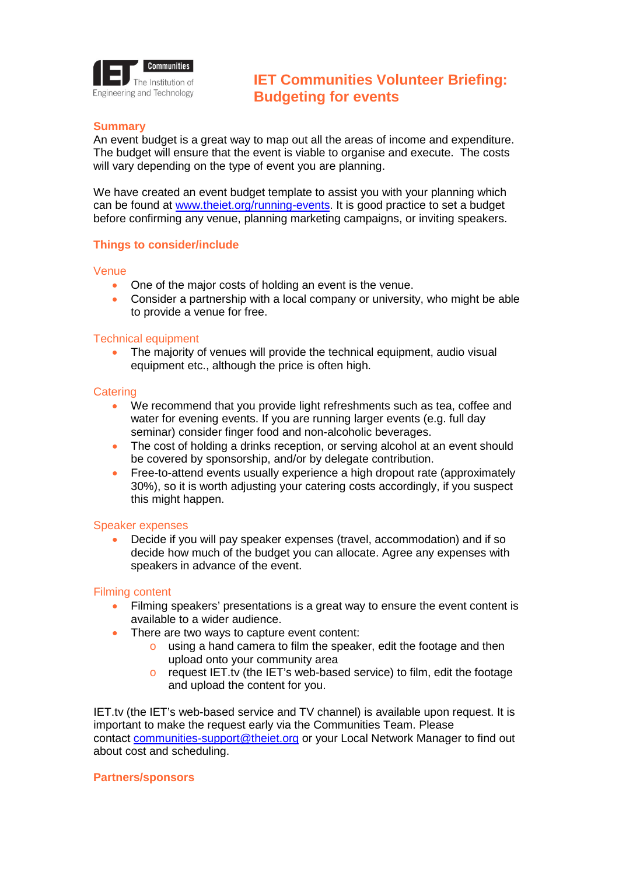

# **IET Communities Volunteer Briefing: Budgeting for events**

## **Summary**

An event budget is a great way to map out all the areas of income and expenditure. The budget will ensure that the event is viable to organise and execute. The costs will vary depending on the type of event you are planning.

We have created an event budget template to assist you with your planning which can be found at [www.theiet.org/running-events.](http://www.theiet.org/running-events) It is good practice to set a budget before confirming any venue, planning marketing campaigns, or inviting speakers.

## **Things to consider/include**

#### Venue

- One of the major costs of holding an event is the venue.
- Consider a partnership with a local company or university, who might be able to provide a venue for free.

### Technical equipment

The majority of venues will provide the technical equipment, audio visual equipment etc., although the price is often high.

#### **Catering**

- We recommend that you provide light refreshments such as tea, coffee and water for evening events. If you are running larger events (e.g. full day seminar) consider finger food and non-alcoholic beverages.
- The cost of holding a drinks reception, or serving alcohol at an event should be covered by sponsorship, and/or by delegate contribution.
- Free-to-attend events usually experience a high dropout rate (approximately 30%), so it is worth adjusting your catering costs accordingly, if you suspect this might happen.

#### Speaker expenses

• Decide if you will pay speaker expenses (travel, accommodation) and if so decide how much of the budget you can allocate. Agree any expenses with speakers in advance of the event.

### Filming content

- Filming speakers' presentations is a great way to ensure the event content is available to a wider audience.
- There are two ways to capture event content:
	- o using a hand camera to film the speaker, edit the footage and then upload onto your community area
	- o request IET.tv (the IET's web-based service) to film, edit the footage and upload the content for you.

IET.tv (the IET's web-based service and TV channel) is available upon request. It is important to make the request early via the Communities Team. Please contact [communities-support@theiet.org](mailto:communities-support@theiet.org) or your Local Network Manager to find out about cost and scheduling.

### **Partners/sponsors**